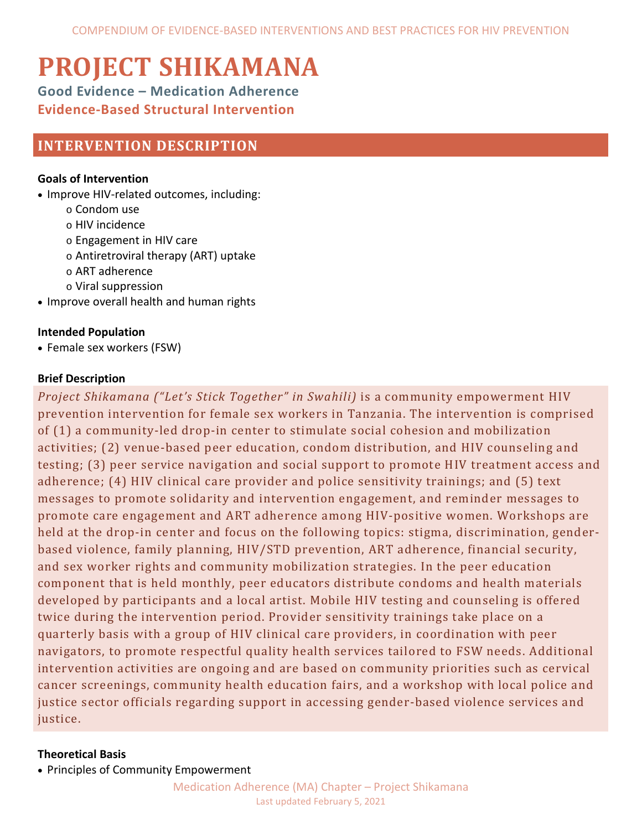# **PROJECT SHIKAMANA**

**Good Evidence – Medication Adherence Evidence-Based Structural Intervention**

# **INTERVENTION DESCRIPTION**

# **Goals of Intervention**

- Improve HIV-related outcomes, including:
	- o Condom use
	- o HIV incidence
	- o Engagement in HIV care
	- o Antiretroviral therapy (ART) uptake
	- o ART adherence
	- o Viral suppression
- Improve overall health and human rights

# **Intended Population**

• Female sex workers (FSW)

# **Brief Description**

*Project Shikamana ("Let's Stick Together" in Swahili)* is a community empowerment HIV prevention intervention for female sex workers in Tanzania. The intervention is comprised of (1) a community-led drop-in center to stimulate social cohesion and mobilization activities; (2) venue-based peer education, condom distribution, and HIV counseling and testing; (3) peer service navigation and social support to promote HIV treatment access and adherence; (4) HIV clinical care provider and police sensitivity trainings; and (5) text messages to promote solidarity and intervention engagement, and reminder messages to promote care engagement and ART adherence among HIV-positive women. Workshops are held at the drop-in center and focus on the following topics: stigma, discrimination, genderbased violence, family planning, HIV/STD prevention, ART adherence, financial security, and sex worker rights and community mobilization strategies. In the peer education component that is held monthly, peer educators distribute condoms and health materials developed by participants and a local artist. Mobile HIV testing and counseling is offered twice during the intervention period. Provider sensitivity trainings take place on a quarterly basis with a group of HIV clinical care providers, in coordination with peer navigators, to promote respectful quality health services tailored to FSW needs. Additional intervention activities are ongoing and are based on community priorities such as cervical cancer screenings, community health education fairs, and a workshop with local police and justice sector officials regarding support in accessing gender-based violence services and justice.

# **Theoretical Basis**

• Principles of Community Empowerment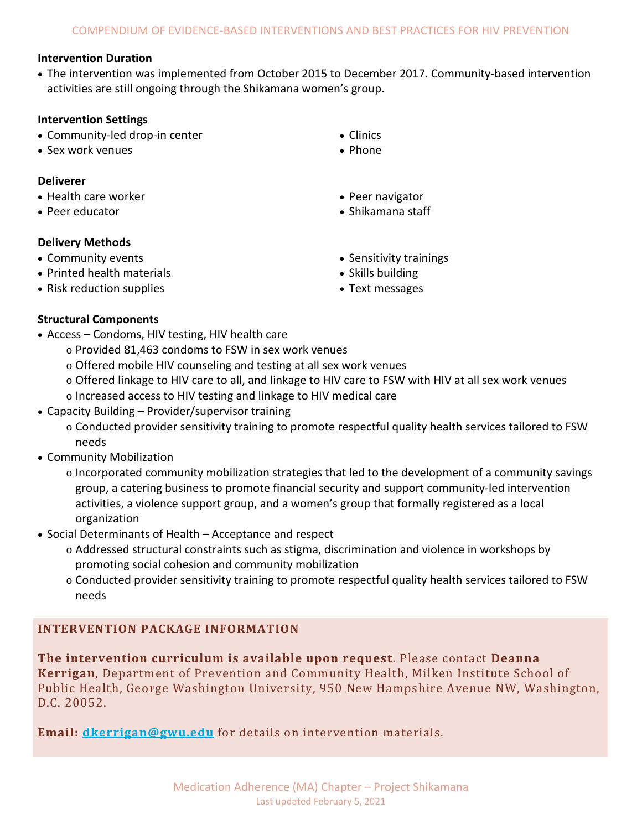## **Intervention Duration**

• The intervention was implemented from October 2015 to December 2017. Community-based intervention activities are still ongoing through the Shikamana women's group.

#### **Intervention Settings**

- Community-led drop-in center
- Sex work venues

#### **Deliverer**

- Health care worker
- Peer educator

## **Delivery Methods**

- Community events
- Printed health materials
- Risk reduction supplies

• Phone

• Clinics

- Peer navigator
- Shikamana staff
- Sensitivity trainings
- Skills building
- Text messages

## **Structural Components**

- Access Condoms, HIV testing, HIV health care
	- o Provided 81,463 condoms to FSW in sex work venues
	- o Offered mobile HIV counseling and testing at all sex work venues
	- o Offered linkage to HIV care to all, and linkage to HIV care to FSW with HIV at all sex work venues
	- o Increased access to HIV testing and linkage to HIV medical care
- Capacity Building Provider/supervisor training
	- o Conducted provider sensitivity training to promote respectful quality health services tailored to FSW needs
- Community Mobilization
	- $\circ$  Incorporated community mobilization strategies that led to the development of a community savings group, a catering business to promote financial security and support community-led intervention activities, a violence support group, and a women's group that formally registered as a local organization
- Social Determinants of Health Acceptance and respect
	- o Addressed structural constraints such as stigma, discrimination and violence in workshops by promoting social cohesion and community mobilization
	- o Conducted provider sensitivity training to promote respectful quality health services tailored to FSW needs

# **INTERVENTION PACKAGE INFORMATION**

**The intervention curriculum is available upon request.** Please contact **Deanna Kerrigan**, Department of Prevention and Community Health, Milken Institute School of Public Health, George Washington University, 950 New Hampshire Avenue NW, Washington, D.C. 20052.

**Email: [dkerrigan@gwu.edu](mailto:dkerrigan@gwu.edu)** for details on intervention materials.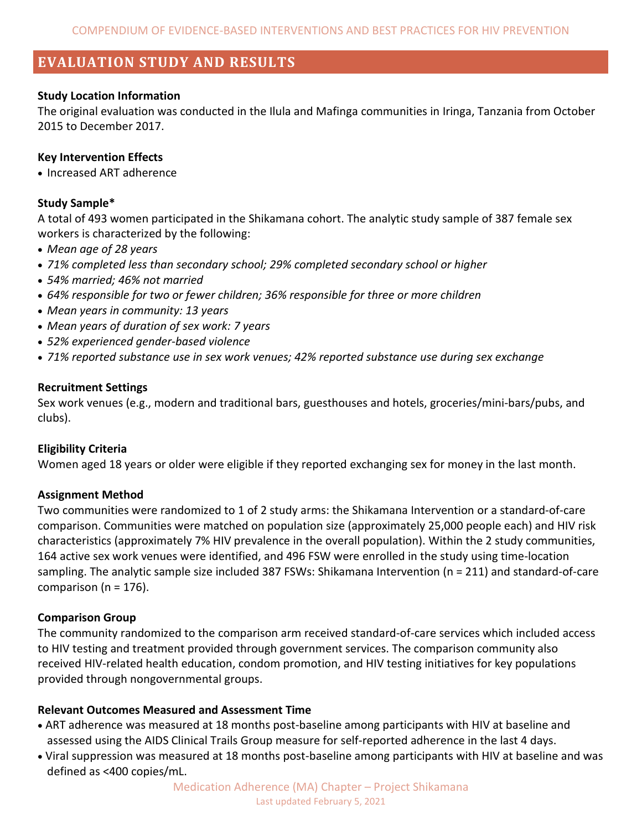# **EVALUATION STUDY AND RESULTS**

#### **Study Location Information**

The original evaluation was conducted in the Ilula and Mafinga communities in Iringa, Tanzania from October 2015 to December 2017.

#### **Key Intervention Effects**

• Increased ART adherence

#### **Study Sample\***

A total of 493 women participated in the Shikamana cohort. The analytic study sample of 387 female sex workers is characterized by the following:

- *Mean age of 28 years*
- *71% completed less than secondary school; 29% completed secondary school or higher*
- *54% married; 46% not married*
- *64% responsible for two or fewer children; 36% responsible for three or more children*
- *Mean years in community: 13 years*
- *Mean years of duration of sex work: 7 years*
- *52% experienced gender-based violence*
- *71% reported substance use in sex work venues; 42% reported substance use during sex exchange*

#### **Recruitment Settings**

Sex work venues (e.g., modern and traditional bars, guesthouses and hotels, groceries/mini-bars/pubs, and clubs).

#### **Eligibility Criteria**

Women aged 18 years or older were eligible if they reported exchanging sex for money in the last month.

#### **Assignment Method**

Two communities were randomized to 1 of 2 study arms: the Shikamana Intervention or a standard-of-care comparison. Communities were matched on population size (approximately 25,000 people each) and HIV risk characteristics (approximately 7% HIV prevalence in the overall population). Within the 2 study communities, 164 active sex work venues were identified, and 496 FSW were enrolled in the study using time-location sampling. The analytic sample size included 387 FSWs: Shikamana Intervention (n = 211) and standard-of-care comparison ( $n = 176$ ).

#### **Comparison Group**

The community randomized to the comparison arm received standard-of-care services which included access to HIV testing and treatment provided through government services. The comparison community also received HIV-related health education, condom promotion, and HIV testing initiatives for key populations provided through nongovernmental groups.

#### **Relevant Outcomes Measured and Assessment Time**

- ART adherence was measured at 18 months post-baseline among participants with HIV at baseline and assessed using the AIDS Clinical Trails Group measure for self-reported adherence in the last 4 days.
- Viral suppression was measured at 18 months post-baseline among participants with HIV at baseline and was defined as <400 copies/mL.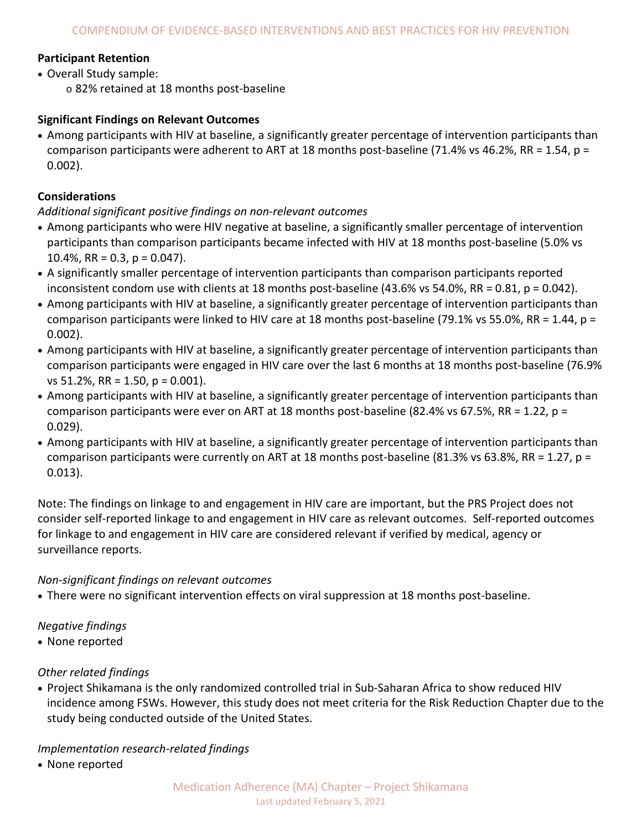# **Participant Retention**

- Overall Study sample:
	- o 82% retained at 18 months post-baseline

# **Significant Findings on Relevant Outcomes**

• Among participants with HIV at baseline, a significantly greater percentage of intervention participants than comparison participants were adherent to ART at 18 months post-baseline (71.4% vs 46.2%, RR = 1.54, p = 0.002).

# **Considerations**

# *Additional significant positive findings on non-relevant outcomes*

- Among participants who were HIV negative at baseline, a significantly smaller percentage of intervention participants than comparison participants became infected with HIV at 18 months post-baseline (5.0% vs 10.4%,  $RR = 0.3$ ,  $p = 0.047$ ).
- A significantly smaller percentage of intervention participants than comparison participants reported inconsistent condom use with clients at 18 months post-baseline (43.6% vs 54.0%, RR = 0.81, p = 0.042).
- Among participants with HIV at baseline, a significantly greater percentage of intervention participants than comparison participants were linked to HIV care at 18 months post-baseline (79.1% vs 55.0%, RR = 1.44,  $p =$ 0.002).
- Among participants with HIV at baseline, a significantly greater percentage of intervention participants than comparison participants were engaged in HIV care over the last 6 months at 18 months post-baseline (76.9% vs 51.2%, RR = 1.50, p = 0.001).
- Among participants with HIV at baseline, a significantly greater percentage of intervention participants than comparison participants were ever on ART at 18 months post-baseline (82.4% vs 67.5%, RR = 1.22,  $p =$ 0.029).
- Among participants with HIV at baseline, a significantly greater percentage of intervention participants than comparison participants were currently on ART at 18 months post-baseline (81.3% vs 63.8%, RR = 1.27,  $p =$ 0.013).

Note: The findings on linkage to and engagement in HIV care are important, but the PRS Project does not consider self-reported linkage to and engagement in HIV care as relevant outcomes. Self-reported outcomes for linkage to and engagement in HIV care are considered relevant if verified by medical, agency or surveillance reports.

## *Non-significant findings on relevant outcomes*

• There were no significant intervention effects on viral suppression at 18 months post-baseline.

# *Negative findings*

• None reported

# *Other related findings*

• Project Shikamana is the only randomized controlled trial in Sub-Saharan Africa to show reduced HIV incidence among FSWs. However, this study does not meet criteria for the Risk Reduction Chapter due to the study being conducted outside of the United States.

# *Implementation research-related findings*

• None reported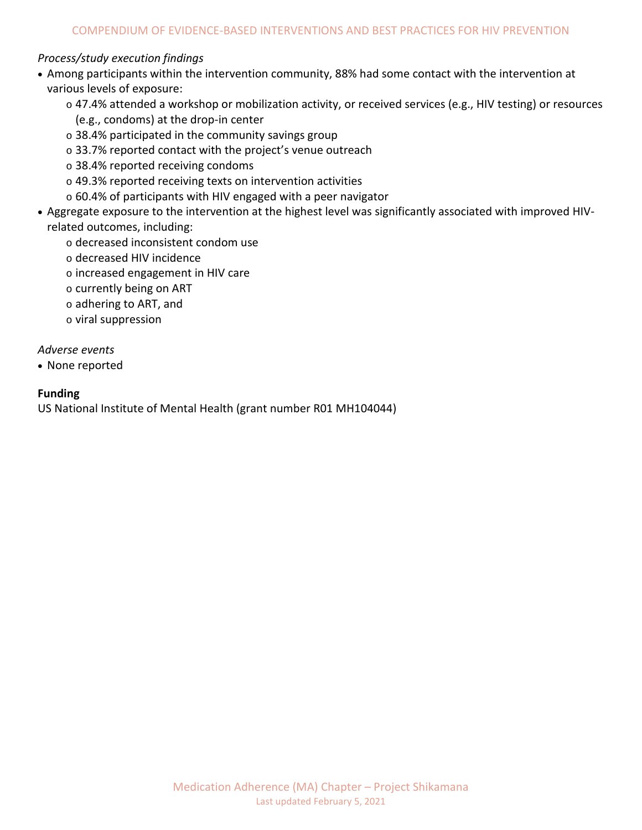# *Process/study execution findings*

- Among participants within the intervention community, 88% had some contact with the intervention at various levels of exposure:
	- o 47.4% attended a workshop or mobilization activity, or received services (e.g., HIV testing) or resources (e.g., condoms) at the drop-in center
	- o 38.4% participated in the community savings group
	- o 33.7% reported contact with the project's venue outreach
	- o 38.4% reported receiving condoms
	- o 49.3% reported receiving texts on intervention activities
	- o 60.4% of participants with HIV engaged with a peer navigator
- Aggregate exposure to the intervention at the highest level was significantly associated with improved HIVrelated outcomes, including:
	- o decreased inconsistent condom use
	- o decreased HIV incidence
	- o increased engagement in HIV care
	- o currently being on ART
	- o adhering to ART, and
	- o viral suppression

*Adverse events*

• None reported

# **Funding**

US National Institute of Mental Health (grant number R01 MH104044)